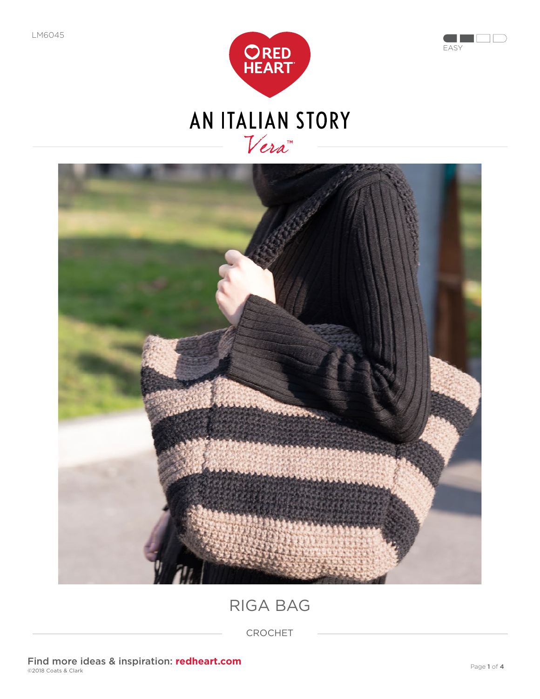





RIGA BAG

CROCHET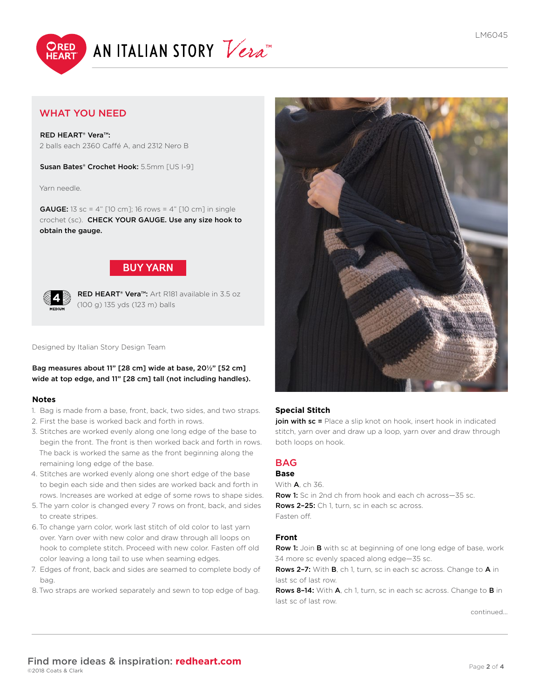



# WHAT YOU NEED

RED HEART® Vera™: 2 balls each 2360 Caffé A, and 2312 Nero B

Susan Bates® Crochet Hook: 5.5mm [US I-9]

Yarn needle.

**GAUGE:** 13 sc = 4" [10 cm]; 16 rows = 4" [10 cm] in single crochet (sc). CHECK YOUR GAUGE. Use any size hook to obtain the gauge.



RED HEART<sup>®</sup> Vera<sup>™</sup>: Art R181 available in 3.5 oz (100 g) 135 yds (123 m) balls

#### Designed by Italian Story Design Team

Bag measures about 11" [28 cm] wide at base, 20½" [52 cm] wide at top edge, and 11" [28 cm] tall (not including handles).

#### **Notes**

- 1. Bag is made from a base, front, back, two sides, and two straps.
- 2. First the base is worked back and forth in rows.
- 3. Stitches are worked evenly along one long edge of the base to begin the front. The front is then worked back and forth in rows. The back is worked the same as the front beginning along the remaining long edge of the base.
- 4. Stitches are worked evenly along one short edge of the base to begin each side and then sides are worked back and forth in rows. Increases are worked at edge of some rows to shape sides.
- 5. The yarn color is changed every 7 rows on front, back, and sides to create stripes.
- 6.To change yarn color, work last stitch of old color to last yarn over. Yarn over with new color and draw through all loops on hook to complete stitch. Proceed with new color. Fasten off old color leaving a long tail to use when seaming edges.
- 7. Edges of front, back and sides are seamed to complete body of bag.
- 8.Two straps are worked separately and sewn to top edge of bag.



## **Special Stitch**

join with sc = Place a slip knot on hook, insert hook in indicated stitch, yarn over and draw up a loop, yarn over and draw through both loops on hook.

# BAG

# **Base**

With A, ch 36. Row 1: Sc in 2nd ch from hook and each ch across-35 sc. Rows 2-25: Ch 1, turn, sc in each sc across. Fasten off.

## **Front**

Row 1: Join B with sc at beginning of one long edge of base, work 34 more sc evenly spaced along edge—35 sc.

Rows 2-7: With B, ch 1, turn, sc in each sc across. Change to A in last sc of last row.

Rows 8-14: With A, ch 1, turn, sc in each sc across. Change to B in last sc of last row.

[continued...](#page-2-0)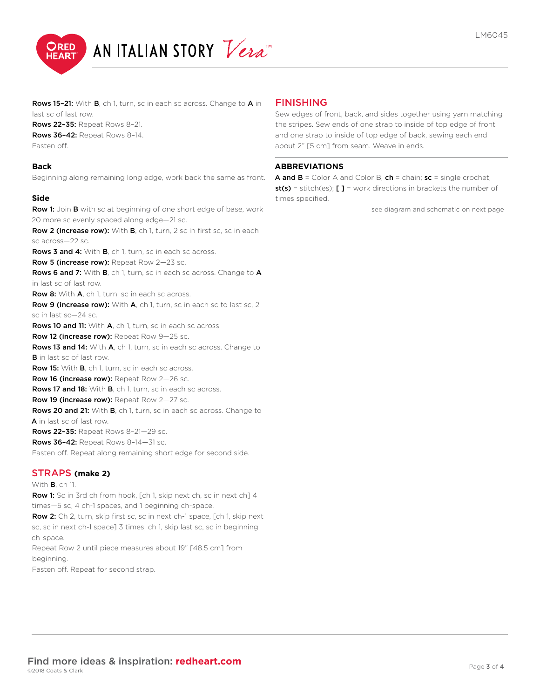<span id="page-2-0"></span>

Rows 15-21: With B, ch 1, turn, sc in each sc across. Change to A in last sc of last row.

Rows 22–35: Repeat Rows 8–21. Rows 36–42: Repeat Rows 8–14.

Fasten off.

#### **Back**

Beginning along remaining long edge, work back the same as front.

#### **Side**

Row 1: Join B with sc at beginning of one short edge of base, work 20 more sc evenly spaced along edge—21 sc.

Row 2 (increase row): With B, ch 1, turn, 2 sc in first sc, sc in each sc across—22 sc.

Rows 3 and 4: With B, ch 1, turn, sc in each sc across.

Row 5 (increase row): Repeat Row 2-23 sc.

Rows 6 and 7: With B, ch 1, turn, sc in each sc across. Change to A in last sc of last row.

Row 8: With A, ch 1, turn, sc in each sc across.

Row 9 (increase row): With A, ch 1, turn, sc in each sc to last sc, 2 sc in last sc—24 sc.

Rows 10 and 11: With A, ch 1, turn, sc in each sc across.

Row 12 (increase row): Repeat Row 9-25 sc.

Rows 13 and 14: With A, ch 1, turn, sc in each sc across. Change to B in last sc of last row.

Row 15: With B, ch 1, turn, sc in each sc across.

Row 16 (increase row): Repeat Row 2-26 sc.

Rows 17 and 18: With B, ch 1, turn, sc in each sc across.

Row 19 (increase row): Repeat Row 2-27 sc.

Rows 20 and 21: With B, ch 1, turn, sc in each sc across. Change to A in last sc of last row.

Rows 22–35: Repeat Rows 8–21—29 sc.

Rows 36-42: Repeat Rows 8-14-31 sc.

Fasten off. Repeat along remaining short edge for second side.

## STRAPS **(make 2)**

With B, ch 11. Row 1: Sc in 3rd ch from hook, [ch 1, skip next ch, sc in next ch] 4 times—5 sc, 4 ch-1 spaces, and 1 beginning ch-space. Row 2: Ch 2, turn, skip first sc, sc in next ch-1 space, [ch 1, skip next sc, sc in next ch-1 space] 3 times, ch 1, skip last sc, sc in beginning ch-space. Repeat Row 2 until piece measures about 19" [48.5 cm] from beginning.

Fasten off. Repeat for second strap.

## FINISHING

Sew edges of front, back, and sides together using yarn matching the stripes. Sew ends of one strap to inside of top edge of front and one strap to inside of top edge of back, sewing each end about 2" [5 cm] from seam. Weave in ends.

#### **ABBREVIATIONS**

**A and B** = Color A and Color B;  $ch = chain$ :  $sc = sinale$  crochet; st(s) = stitch(es); [ ] = work directions in brackets the number of times specified.

[see diagram and schematic on next page](#page-3-0)